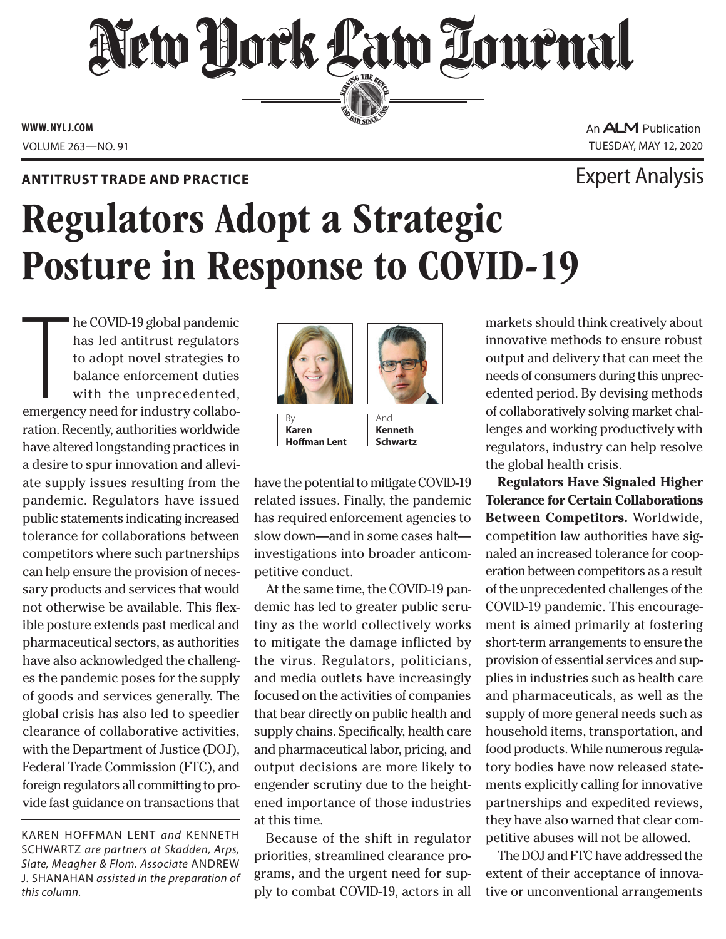## New Hork Law Lournal SERVING THE BET

**ED BAR SINCE 1888** 

**www. NYLJ.com**

## **Antitrust Trade and Practice** Expert Analysis

An **ALM** Publication Volume 263—NO. 91 Tuesday, May 12, 2020

## Regulators Adopt a Strategic Posture in Response to COVID-19

he COVID-19 global pandemic<br>has led antitrust regulators<br>to adopt novel strategies to<br>balance enforcement duties<br>with the unprecedented,<br>emergency need for industry collabohe COVID-19 global pandemic has led antitrust regulators to adopt novel strategies to balance enforcement duties with the unprecedented, ration. Recently, authorities worldwide have altered longstanding practices in a desire to spur innovation and alleviate supply issues resulting from the pandemic. Regulators have issued public statements indicating increased tolerance for collaborations between competitors where such partnerships can help ensure the provision of necessary products and services that would not otherwise be available. This flexible posture extends past medical and pharmaceutical sectors, as authorities have also acknowledged the challenges the pandemic poses for the supply of goods and services generally. The global crisis has also led to speedier clearance of collaborative activities, with the Department of Justice (DOJ), Federal Trade Commission (FTC), and foreign regulators all committing to provide fast guidance on transactions that



**Karen Hoffman Lent**

And **Kenneth Schwartz**

have the potential to mitigate COVID-19 related issues. Finally, the pandemic has required enforcement agencies to slow down—and in some cases halt investigations into broader anticompetitive conduct.

At the same time, the COVID-19 pandemic has led to greater public scrutiny as the world collectively works to mitigate the damage inflicted by the virus. Regulators, politicians, and media outlets have increasingly focused on the activities of companies that bear directly on public health and supply chains. Specifically, health care and pharmaceutical labor, pricing, and output decisions are more likely to engender scrutiny due to the heightened importance of those industries at this time.

Because of the shift in regulator priorities, streamlined clearance programs, and the urgent need for supply to combat COVID-19, actors in all

markets should think creatively about innovative methods to ensure robust output and delivery that can meet the needs of consumers during this unprecedented period. By devising methods of collaboratively solving market challenges and working productively with regulators, industry can help resolve the global health crisis.

**Regulators Have Signaled Higher Tolerance for Certain Collaborations Between Competitors.** Worldwide, competition law authorities have signaled an increased tolerance for cooperation between competitors as a result of the unprecedented challenges of the COVID-19 pandemic. This encouragement is aimed primarily at fostering short-term arrangements to ensure the provision of essential services and supplies in industries such as health care and pharmaceuticals, as well as the supply of more general needs such as household items, transportation, and food products. While numerous regulatory bodies have now released statements explicitly calling for innovative partnerships and expedited reviews, they have also warned that clear competitive abuses will not be allowed.

The DOJ and FTC have addressed the extent of their acceptance of innovative or unconventional arrangements

Karen Hoffman Lent *and* Kenneth Schwartz *are partners at Skadden, Arps,*  **Slate, Meagher & Flom. Associate ANDREW** J. Shanahan *assisted in the preparation of this column.*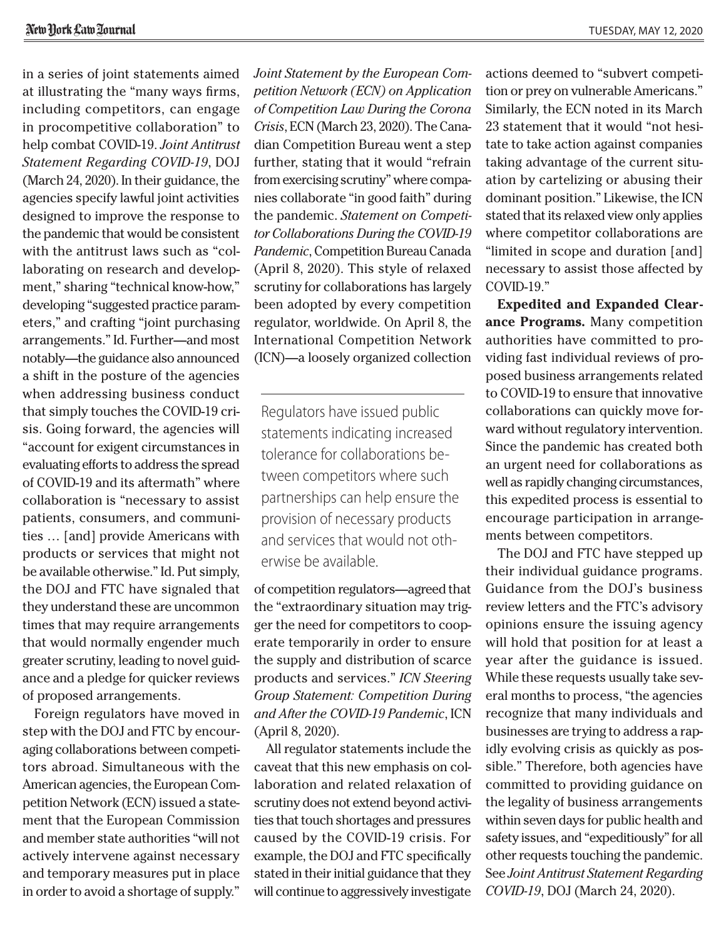in a series of joint statements aimed at illustrating the "many ways firms, including competitors, can engage in procompetitive collaboration" to help combat COVID-19. *Joint Antitrust Statement Regarding COVID-19*, DOJ (March 24, 2020). In their guidance, the agencies specify lawful joint activities designed to improve the response to the pandemic that would be consistent with the antitrust laws such as "collaborating on research and development," sharing "technical know-how," developing "suggested practice parameters," and crafting "joint purchasing arrangements." Id. Further—and most notably—the guidance also announced a shift in the posture of the agencies when addressing business conduct that simply touches the COVID-19 crisis. Going forward, the agencies will "account for exigent circumstances in evaluating efforts to address the spread of COVID-19 and its aftermath" where collaboration is "necessary to assist patients, consumers, and communities … [and] provide Americans with products or services that might not be available otherwise." Id. Put simply, the DOJ and FTC have signaled that they understand these are uncommon times that may require arrangements that would normally engender much greater scrutiny, leading to novel guidance and a pledge for quicker reviews of proposed arrangements.

Foreign regulators have moved in step with the DOJ and FTC by encouraging collaborations between competitors abroad. Simultaneous with the American agencies, the European Competition Network (ECN) issued a statement that the European Commission and member state authorities "will not actively intervene against necessary and temporary measures put in place in order to avoid a shortage of supply."

*Joint Statement by the European Competition Network (ECN) on Application of Competition Law During the Corona Crisis*, ECN (March 23, 2020). The Canadian Competition Bureau went a step further, stating that it would "refrain from exercising scrutiny" where companies collaborate "in good faith" during the pandemic. *Statement on Competitor Collaborations During the COVID-19 Pandemic*, Competition Bureau Canada (April 8, 2020). This style of relaxed scrutiny for collaborations has largely been adopted by every competition regulator, worldwide. On April 8, the International Competition Network (ICN)—a loosely organized collection

Regulators have issued public statements indicating increased tolerance for collaborations between competitors where such partnerships can help ensure the provision of necessary products and services that would not otherwise be available.

of competition regulators—agreed that the "extraordinary situation may trigger the need for competitors to cooperate temporarily in order to ensure the supply and distribution of scarce products and services." *ICN Steering Group Statement: Competition During and After the COVID-19 Pandemic*, ICN (April 8, 2020).

All regulator statements include the caveat that this new emphasis on collaboration and related relaxation of scrutiny does not extend beyond activities that touch shortages and pressures caused by the COVID-19 crisis. For example, the DOJ and FTC specifically stated in their initial guidance that they will continue to aggressively investigate actions deemed to "subvert competition or prey on vulnerable Americans." Similarly, the ECN noted in its March 23 statement that it would "not hesitate to take action against companies taking advantage of the current situation by cartelizing or abusing their dominant position." Likewise, the ICN stated that its relaxed view only applies where competitor collaborations are "limited in scope and duration [and] necessary to assist those affected by COVID-19."

**Expedited and Expanded Clear ance Programs.** Many competition authorities have committed to providing fast individual reviews of proposed business arrangements related to COVID-19 to ensure that innovative collaborations can quickly move forward without regulatory intervention. Since the pandemic has created both an urgent need for collaborations as well as rapidly changing circumstances, this expedited process is essential to encourage participation in arrangements between competitors.

The DOJ and FTC have stepped up their individual guidance programs. Guidance from the DOJ's business review letters and the FTC's advisory opinions ensure the issuing agency will hold that position for at least a year after the guidance is issued. While these requests usually take several months to process, "the agencies recognize that many individuals and businesses are trying to address a rapidly evolving crisis as quickly as possible." Therefore, both agencies have committed to providing guidance on the legality of business arrangements within seven days for public health and safety issues, and "expeditiously" for all other requests touching the pandemic. See *Joint Antitrust Statement Regarding COVID-19*, DOJ (March 24, 2020).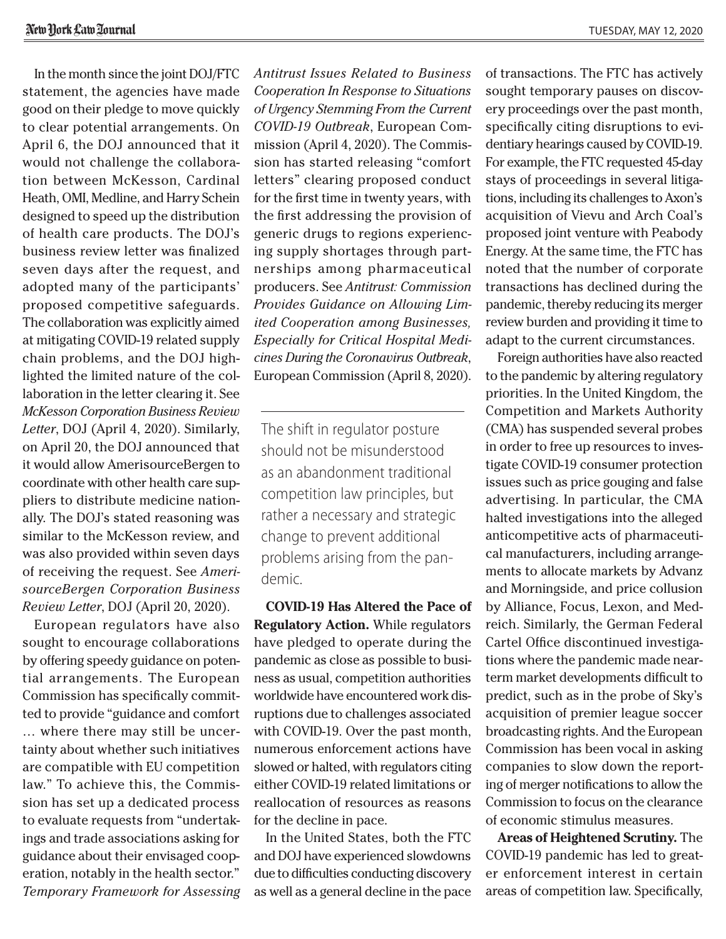In the month since the joint DOJ/FTC statement, the agencies have made good on their pledge to move quickly to clear potential arrangements. On April 6, the DOJ announced that it would not challenge the collaboration between McKesson, Cardinal Heath, OMI, Medline, and Harry Schein designed to speed up the distribution of health care products. The DOJ's business review letter was finalized seven days after the request, and adopted many of the participants' proposed competitive safeguards. The collaboration was explicitly aimed at mitigating COVID-19 related supply chain problems, and the DOJ highlighted the limited nature of the collaboration in the letter clearing it. See *McKesson Corporation Business Review Letter*, DOJ (April 4, 2020). Similarly, on April 20, the DOJ announced that it would allow AmerisourceBergen to coordinate with other health care suppliers to distribute medicine nationally. The DOJ's stated reasoning was similar to the McKesson review, and was also provided within seven days of receiving the request. See *AmerisourceBergen Corporation Business Review Letter*, DOJ (April 20, 2020).

European regulators have also sought to encourage collaborations by offering speedy guidance on potential arrangements. The European Commission has specifically committed to provide "guidance and comfort … where there may still be uncertainty about whether such initiatives are compatible with EU competition law." To achieve this, the Commission has set up a dedicated process to evaluate requests from "undertakings and trade associations asking for guidance about their envisaged cooperation, notably in the health sector." *Temporary Framework for Assessing*  *Antitrust Issues Related to Business Cooperation In Response to Situations of Urgency Stemming From the Current COVID-19 Outbreak*, European Commission (April 4, 2020). The Commission has started releasing "comfort letters" clearing proposed conduct for the first time in twenty years, with the first addressing the provision of generic drugs to regions experiencing supply shortages through partnerships among pharmaceutical producers. See *Antitrust: Commission Provides Guidance on Allowing Limited Cooperation among Businesses, Especially for Critical Hospital Medicines During the Coronavirus Outbreak*, European Commission (April 8, 2020).

The shift in regulator posture should not be misunderstood as an abandonment traditional competition law principles, but rather a necessary and strategic change to prevent additional problems arising from the pandemic.

**COVID-19 Has Altered the Pace of Regulatory Action.** While regulators have pledged to operate during the pandemic as close as possible to business as usual, competition authorities worldwide have encountered work disruptions due to challenges associated with COVID-19. Over the past month, numerous enforcement actions have slowed or halted, with regulators citing either COVID-19 related limitations or reallocation of resources as reasons for the decline in pace.

In the United States, both the FTC and DOJ have experienced slowdowns due to difficulties conducting discovery as well as a general decline in the pace

of transactions. The FTC has actively sought temporary pauses on discovery proceedings over the past month, specifically citing disruptions to evidentiary hearings caused by COVID-19. For example, the FTC requested 45-day stays of proceedings in several litigations, including its challenges to Axon's acquisition of Vievu and Arch Coal's proposed joint venture with Peabody Energy. At the same time, the FTC has noted that the number of corporate transactions has declined during the pandemic, thereby reducing its merger review burden and providing it time to adapt to the current circumstances.

Foreign authorities have also reacted to the pandemic by altering regulatory priorities. In the United Kingdom, the Competition and Markets Authority (CMA) has suspended several probes in order to free up resources to investigate COVID-19 consumer protection issues such as price gouging and false advertising. In particular, the CMA halted investigations into the alleged anticompetitive acts of pharmaceutical manufacturers, including arrangements to allocate markets by Advanz and Morningside, and price collusion by Alliance, Focus, Lexon, and Medreich. Similarly, the German Federal Cartel Office discontinued investigations where the pandemic made nearterm market developments difficult to predict, such as in the probe of Sky's acquisition of premier league soccer broadcasting rights. And the European Commission has been vocal in asking companies to slow down the reporting of merger notifications to allow the Commission to focus on the clearance of economic stimulus measures.

**Areas of Heightened Scrutiny.** The COVID-19 pandemic has led to greater enforcement interest in certain areas of competition law. Specifically,